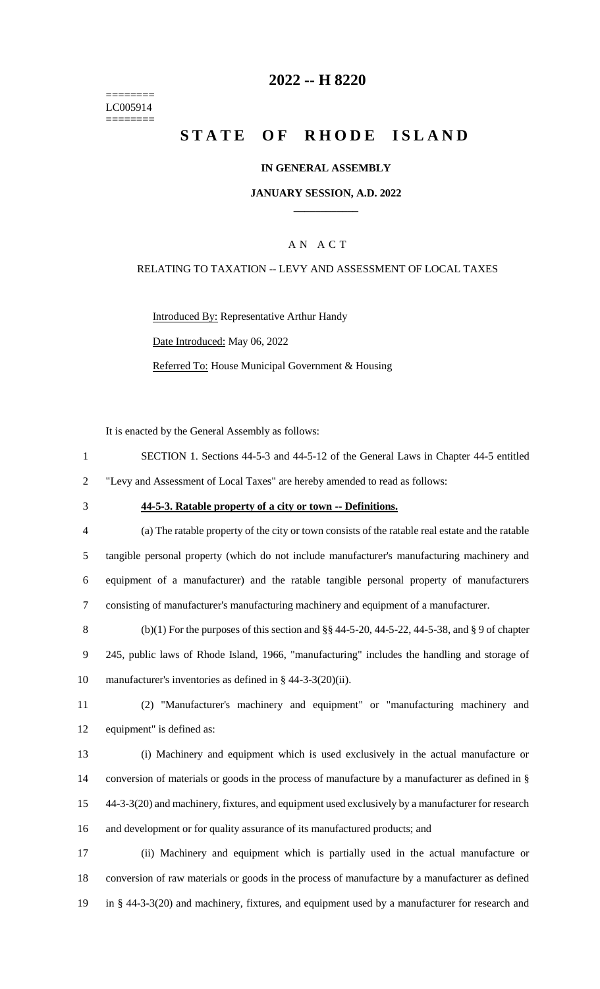======== LC005914 ========

## **2022 -- H 8220**

## **STATE OF RHODE ISLAND**

#### **IN GENERAL ASSEMBLY**

#### **JANUARY SESSION, A.D. 2022 \_\_\_\_\_\_\_\_\_\_\_\_**

### A N A C T

#### RELATING TO TAXATION -- LEVY AND ASSESSMENT OF LOCAL TAXES

Introduced By: Representative Arthur Handy Date Introduced: May 06, 2022 Referred To: House Municipal Government & Housing

It is enacted by the General Assembly as follows:

- 1 SECTION 1. Sections 44-5-3 and 44-5-12 of the General Laws in Chapter 44-5 entitled 2 "Levy and Assessment of Local Taxes" are hereby amended to read as follows:
- 

#### 3 **44-5-3. Ratable property of a city or town -- Definitions.**

 (a) The ratable property of the city or town consists of the ratable real estate and the ratable tangible personal property (which do not include manufacturer's manufacturing machinery and equipment of a manufacturer) and the ratable tangible personal property of manufacturers consisting of manufacturer's manufacturing machinery and equipment of a manufacturer.

8 (b)(1) For the purposes of this section and  $\S$ § 44-5-20, 44-5-22, 44-5-38, and § 9 of chapter 9 245, public laws of Rhode Island, 1966, "manufacturing" includes the handling and storage of 10 manufacturer's inventories as defined in § 44-3-3(20)(ii).

11 (2) "Manufacturer's machinery and equipment" or "manufacturing machinery and 12 equipment" is defined as:

 (i) Machinery and equipment which is used exclusively in the actual manufacture or 14 conversion of materials or goods in the process of manufacture by a manufacturer as defined in § 44-3-3(20) and machinery, fixtures, and equipment used exclusively by a manufacturer for research and development or for quality assurance of its manufactured products; and

17 (ii) Machinery and equipment which is partially used in the actual manufacture or 18 conversion of raw materials or goods in the process of manufacture by a manufacturer as defined 19 in § 44-3-3(20) and machinery, fixtures, and equipment used by a manufacturer for research and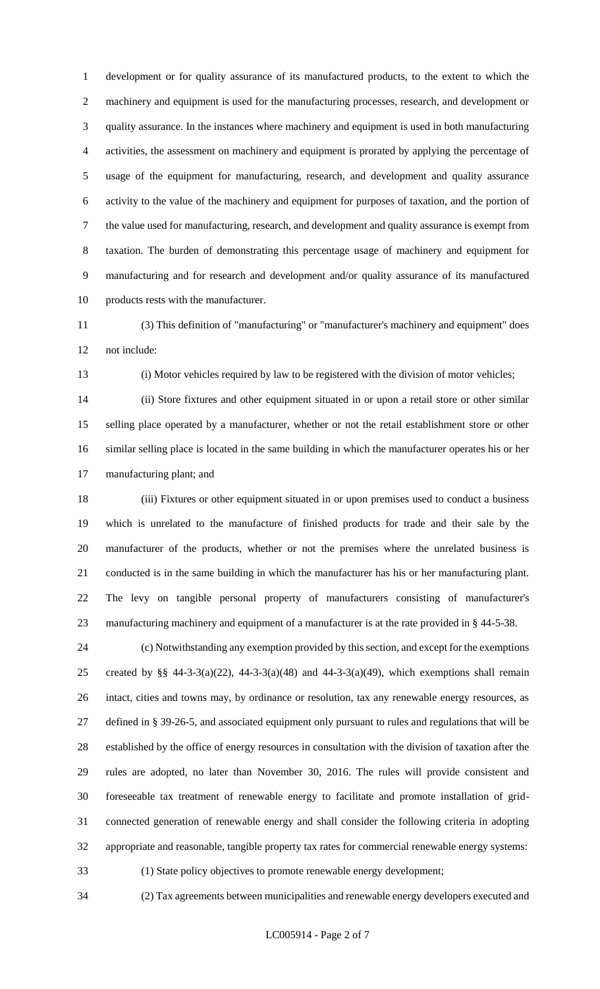development or for quality assurance of its manufactured products, to the extent to which the machinery and equipment is used for the manufacturing processes, research, and development or quality assurance. In the instances where machinery and equipment is used in both manufacturing activities, the assessment on machinery and equipment is prorated by applying the percentage of usage of the equipment for manufacturing, research, and development and quality assurance activity to the value of the machinery and equipment for purposes of taxation, and the portion of the value used for manufacturing, research, and development and quality assurance is exempt from taxation. The burden of demonstrating this percentage usage of machinery and equipment for manufacturing and for research and development and/or quality assurance of its manufactured products rests with the manufacturer.

 (3) This definition of "manufacturing" or "manufacturer's machinery and equipment" does not include:

(i) Motor vehicles required by law to be registered with the division of motor vehicles;

 (ii) Store fixtures and other equipment situated in or upon a retail store or other similar selling place operated by a manufacturer, whether or not the retail establishment store or other similar selling place is located in the same building in which the manufacturer operates his or her manufacturing plant; and

 (iii) Fixtures or other equipment situated in or upon premises used to conduct a business which is unrelated to the manufacture of finished products for trade and their sale by the manufacturer of the products, whether or not the premises where the unrelated business is conducted is in the same building in which the manufacturer has his or her manufacturing plant. The levy on tangible personal property of manufacturers consisting of manufacturer's manufacturing machinery and equipment of a manufacturer is at the rate provided in § 44-5-38.

 (c) Notwithstanding any exemption provided by this section, and except for the exemptions 25 created by §§ 44-3-3(a)(22), 44-3-3(a)(48) and 44-3-3(a)(49), which exemptions shall remain intact, cities and towns may, by ordinance or resolution, tax any renewable energy resources, as defined in § 39-26-5, and associated equipment only pursuant to rules and regulations that will be established by the office of energy resources in consultation with the division of taxation after the rules are adopted, no later than November 30, 2016. The rules will provide consistent and foreseeable tax treatment of renewable energy to facilitate and promote installation of grid- connected generation of renewable energy and shall consider the following criteria in adopting appropriate and reasonable, tangible property tax rates for commercial renewable energy systems: (1) State policy objectives to promote renewable energy development;

(2) Tax agreements between municipalities and renewable energy developers executed and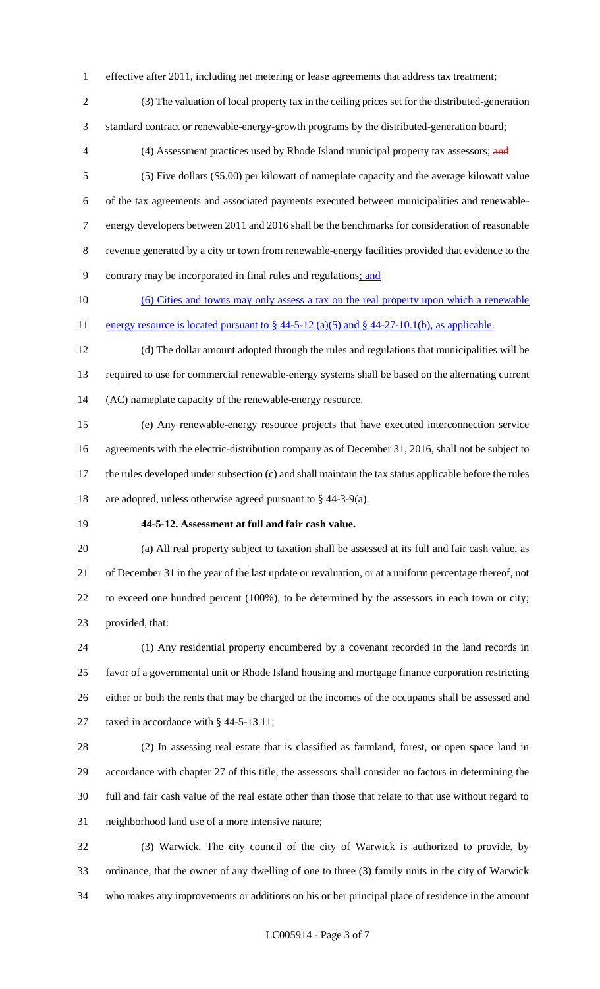effective after 2011, including net metering or lease agreements that address tax treatment;

 (3) The valuation of local property tax in the ceiling prices set for the distributed-generation standard contract or renewable-energy-growth programs by the distributed-generation board;

4 (4) Assessment practices used by Rhode Island municipal property tax assessors; and

 (5) Five dollars (\$5.00) per kilowatt of nameplate capacity and the average kilowatt value of the tax agreements and associated payments executed between municipalities and renewable- energy developers between 2011 and 2016 shall be the benchmarks for consideration of reasonable revenue generated by a city or town from renewable-energy facilities provided that evidence to the contrary may be incorporated in final rules and regulations; and

 (6) Cities and towns may only assess a tax on the real property upon which a renewable 11 energy resource is located pursuant to  $\S$  44-5-12 (a)(5) and  $\S$  44-27-10.1(b), as applicable.

 (d) The dollar amount adopted through the rules and regulations that municipalities will be required to use for commercial renewable-energy systems shall be based on the alternating current (AC) nameplate capacity of the renewable-energy resource.

 (e) Any renewable-energy resource projects that have executed interconnection service agreements with the electric-distribution company as of December 31, 2016, shall not be subject to the rules developed under subsection (c) and shall maintain the tax status applicable before the rules are adopted, unless otherwise agreed pursuant to § 44-3-9(a).

#### **44-5-12. Assessment at full and fair cash value.**

 (a) All real property subject to taxation shall be assessed at its full and fair cash value, as of December 31 in the year of the last update or revaluation, or at a uniform percentage thereof, not to exceed one hundred percent (100%), to be determined by the assessors in each town or city; provided, that:

 (1) Any residential property encumbered by a covenant recorded in the land records in favor of a governmental unit or Rhode Island housing and mortgage finance corporation restricting either or both the rents that may be charged or the incomes of the occupants shall be assessed and 27 taxed in accordance with § 44-5-13.11;

 (2) In assessing real estate that is classified as farmland, forest, or open space land in accordance with chapter 27 of this title, the assessors shall consider no factors in determining the full and fair cash value of the real estate other than those that relate to that use without regard to neighborhood land use of a more intensive nature;

 (3) Warwick. The city council of the city of Warwick is authorized to provide, by ordinance, that the owner of any dwelling of one to three (3) family units in the city of Warwick who makes any improvements or additions on his or her principal place of residence in the amount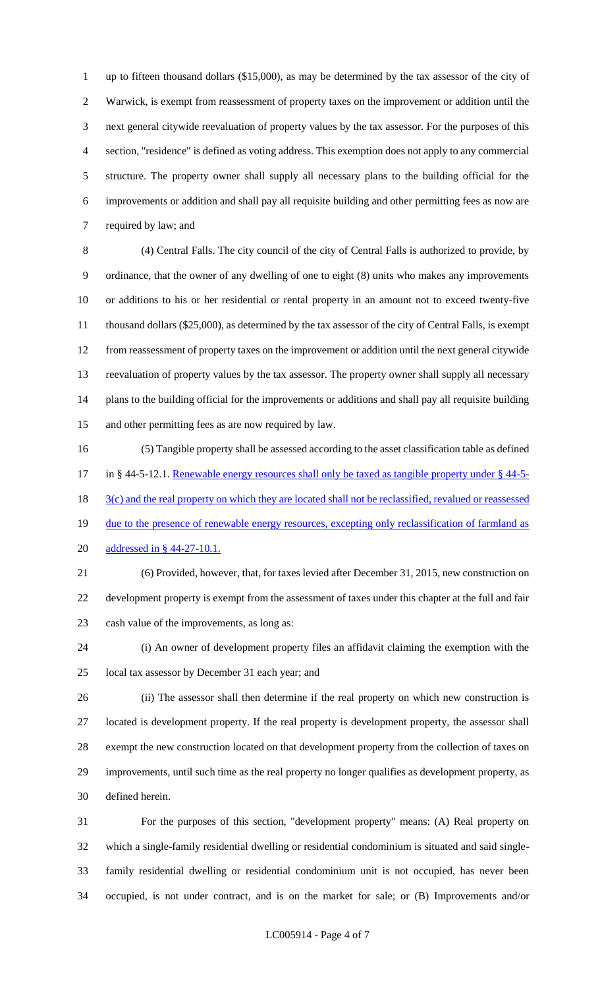up to fifteen thousand dollars (\$15,000), as may be determined by the tax assessor of the city of Warwick, is exempt from reassessment of property taxes on the improvement or addition until the next general citywide reevaluation of property values by the tax assessor. For the purposes of this section, "residence" is defined as voting address. This exemption does not apply to any commercial structure. The property owner shall supply all necessary plans to the building official for the improvements or addition and shall pay all requisite building and other permitting fees as now are required by law; and

 (4) Central Falls. The city council of the city of Central Falls is authorized to provide, by ordinance, that the owner of any dwelling of one to eight (8) units who makes any improvements or additions to his or her residential or rental property in an amount not to exceed twenty-five thousand dollars (\$25,000), as determined by the tax assessor of the city of Central Falls, is exempt from reassessment of property taxes on the improvement or addition until the next general citywide reevaluation of property values by the tax assessor. The property owner shall supply all necessary plans to the building official for the improvements or additions and shall pay all requisite building and other permitting fees as are now required by law.

 (5) Tangible property shall be assessed according to the asset classification table as defined 17 in § 44-5-12.1. Renewable energy resources shall only be taxed as tangible property under § 44-5-18 3(c) and the real property on which they are located shall not be reclassified, revalued or reassessed 19 due to the presence of renewable energy resources, excepting only reclassification of farmland as addressed in § 44-27-10.1.

 (6) Provided, however, that, for taxes levied after December 31, 2015, new construction on development property is exempt from the assessment of taxes under this chapter at the full and fair cash value of the improvements, as long as:

 (i) An owner of development property files an affidavit claiming the exemption with the local tax assessor by December 31 each year; and

 (ii) The assessor shall then determine if the real property on which new construction is located is development property. If the real property is development property, the assessor shall exempt the new construction located on that development property from the collection of taxes on improvements, until such time as the real property no longer qualifies as development property, as defined herein.

 For the purposes of this section, "development property" means: (A) Real property on which a single-family residential dwelling or residential condominium is situated and said single- family residential dwelling or residential condominium unit is not occupied, has never been occupied, is not under contract, and is on the market for sale; or (B) Improvements and/or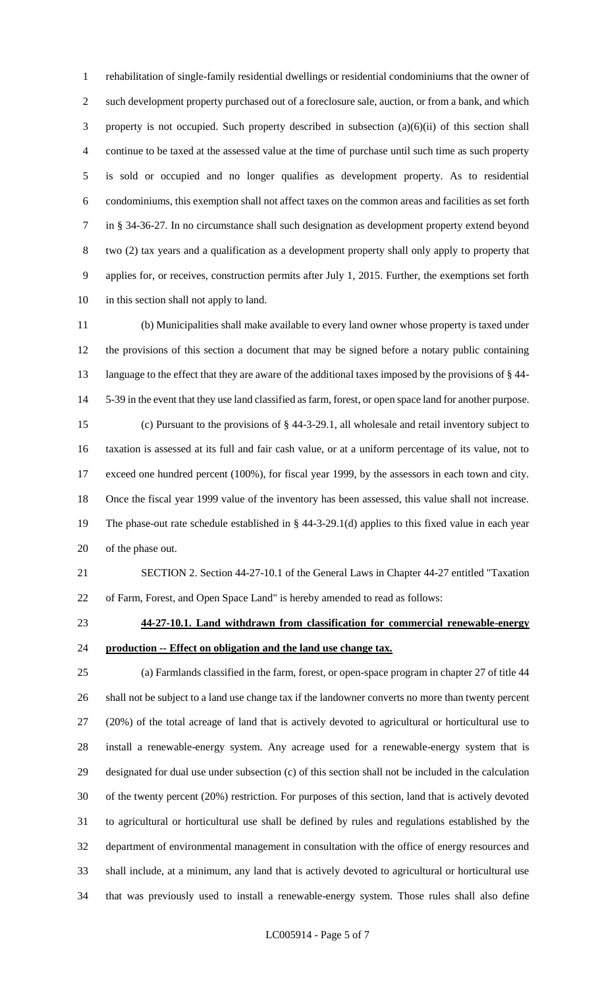rehabilitation of single-family residential dwellings or residential condominiums that the owner of such development property purchased out of a foreclosure sale, auction, or from a bank, and which property is not occupied. Such property described in subsection (a)(6)(ii) of this section shall continue to be taxed at the assessed value at the time of purchase until such time as such property is sold or occupied and no longer qualifies as development property. As to residential condominiums, this exemption shall not affect taxes on the common areas and facilities as set forth in § 34-36-27. In no circumstance shall such designation as development property extend beyond two (2) tax years and a qualification as a development property shall only apply to property that applies for, or receives, construction permits after July 1, 2015. Further, the exemptions set forth in this section shall not apply to land.

 (b) Municipalities shall make available to every land owner whose property is taxed under the provisions of this section a document that may be signed before a notary public containing language to the effect that they are aware of the additional taxes imposed by the provisions of § 44- 5-39 in the event that they use land classified as farm, forest, or open space land for another purpose. (c) Pursuant to the provisions of § 44-3-29.1, all wholesale and retail inventory subject to taxation is assessed at its full and fair cash value, or at a uniform percentage of its value, not to exceed one hundred percent (100%), for fiscal year 1999, by the assessors in each town and city. Once the fiscal year 1999 value of the inventory has been assessed, this value shall not increase. The phase-out rate schedule established in § 44-3-29.1(d) applies to this fixed value in each year of the phase out.

 SECTION 2. Section 44-27-10.1 of the General Laws in Chapter 44-27 entitled "Taxation of Farm, Forest, and Open Space Land" is hereby amended to read as follows:

# **44-27-10.1. Land withdrawn from classification for commercial renewable-energy production -- Effect on obligation and the land use change tax.**

 (a) Farmlands classified in the farm, forest, or open-space program in chapter 27 of title 44 shall not be subject to a land use change tax if the landowner converts no more than twenty percent (20%) of the total acreage of land that is actively devoted to agricultural or horticultural use to install a renewable-energy system. Any acreage used for a renewable-energy system that is designated for dual use under subsection (c) of this section shall not be included in the calculation of the twenty percent (20%) restriction. For purposes of this section, land that is actively devoted to agricultural or horticultural use shall be defined by rules and regulations established by the department of environmental management in consultation with the office of energy resources and shall include, at a minimum, any land that is actively devoted to agricultural or horticultural use that was previously used to install a renewable-energy system. Those rules shall also define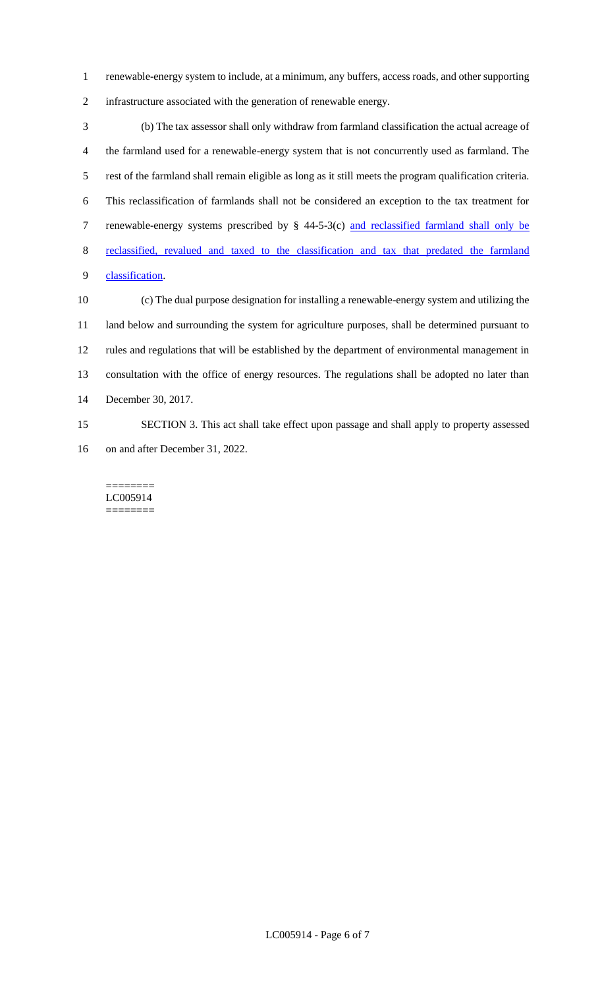renewable-energy system to include, at a minimum, any buffers, access roads, and other supporting infrastructure associated with the generation of renewable energy.

 (b) The tax assessor shall only withdraw from farmland classification the actual acreage of the farmland used for a renewable-energy system that is not concurrently used as farmland. The rest of the farmland shall remain eligible as long as it still meets the program qualification criteria. This reclassification of farmlands shall not be considered an exception to the tax treatment for renewable-energy systems prescribed by § 44-5-3(c) and reclassified farmland shall only be reclassified, revalued and taxed to the classification and tax that predated the farmland classification.

 (c) The dual purpose designation for installing a renewable-energy system and utilizing the land below and surrounding the system for agriculture purposes, shall be determined pursuant to rules and regulations that will be established by the department of environmental management in consultation with the office of energy resources. The regulations shall be adopted no later than December 30, 2017.

 SECTION 3. This act shall take effect upon passage and shall apply to property assessed on and after December 31, 2022.

======== LC005914 ========